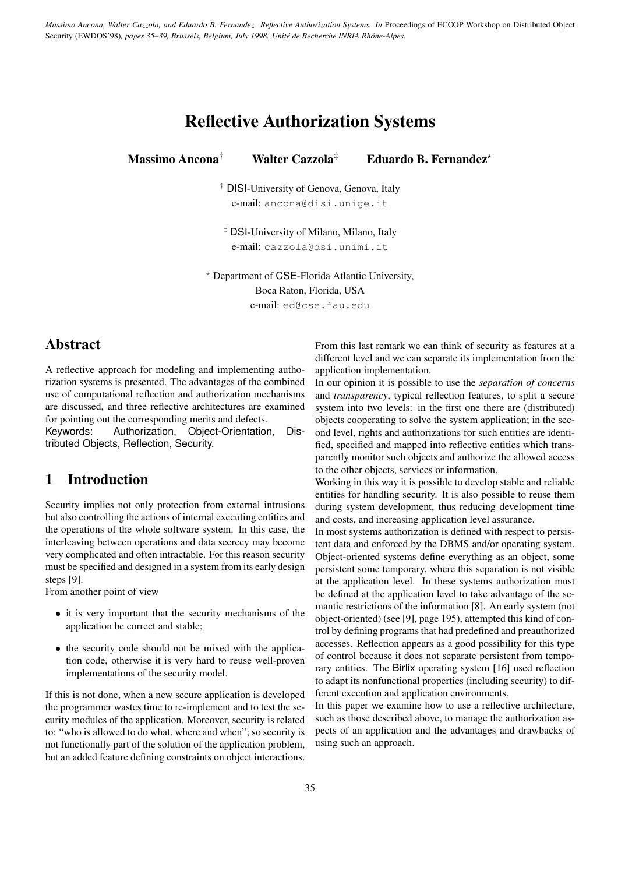*Massimo Ancona, Walter Cazzola, and Eduardo B. Fernandez. Reflective Authorization Systems. In* Proceedings of ECOOP Workshop on Distributed Object Security (EWDOS'98), pages 35-39, Brussels, Belgium, July 1998. Unité de Recherche INRIA Rhŏne-Alpes.

# Reflective Authorization Systems

Massimo Ancona<sup>†</sup> Walter Cazzola<sup>‡</sup> Eduardo B. Fernandez<sup>\*</sup>

† DISI-University of Genova, Genova, Italy e-mail: ancona@disi.unige.it

‡ DSI-University of Milano, Milano, Italy e-mail: cazzola@dsi.unimi.it

? Department of CSE-Florida Atlantic University, Boca Raton, Florida, USA e-mail: ed@cse.fau.edu

#### Abstract

A reflective approach for modeling and implementing authorization systems is presented. The advantages of the combined use of computational reflection and authorization mechanisms are discussed, and three reflective architectures are examined for pointing out the corresponding merits and defects.

Keywords: Authorization, Object-Orientation, Distributed Objects, Reflection, Security.

### 1 Introduction

Security implies not only protection from external intrusions but also controlling the actions of internal executing entities and the operations of the whole software system. In this case, the interleaving between operations and data secrecy may become very complicated and often intractable. For this reason security must be specified and designed in a system from its early design steps [9].

From another point of view

- it is very important that the security mechanisms of the application be correct and stable;
- the security code should not be mixed with the application code, otherwise it is very hard to reuse well-proven implementations of the security model.

If this is not done, when a new secure application is developed the programmer wastes time to re-implement and to test the security modules of the application. Moreover, security is related to: "who is allowed to do what, where and when"; so security is not functionally part of the solution of the application problem, but an added feature defining constraints on object interactions. From this last remark we can think of security as features at a different level and we can separate its implementation from the application implementation.

In our opinion it is possible to use the *separation of concerns* and *transparency*, typical reflection features, to split a secure system into two levels: in the first one there are (distributed) objects cooperating to solve the system application; in the second level, rights and authorizations for such entities are identified, specified and mapped into reflective entities which transparently monitor such objects and authorize the allowed access to the other objects, services or information.

Working in this way it is possible to develop stable and reliable entities for handling security. It is also possible to reuse them during system development, thus reducing development time and costs, and increasing application level assurance.

In most systems authorization is defined with respect to persistent data and enforced by the DBMS and/or operating system. Object-oriented systems define everything as an object, some persistent some temporary, where this separation is not visible at the application level. In these systems authorization must be defined at the application level to take advantage of the semantic restrictions of the information [8]. An early system (not object-oriented) (see [9], page 195), attempted this kind of control by defining programs that had predefined and preauthorized accesses. Reflection appears as a good possibility for this type of control because it does not separate persistent from temporary entities. The Birlix operating system [16] used reflection to adapt its nonfunctional properties (including security) to different execution and application environments.

In this paper we examine how to use a reflective architecture, such as those described above, to manage the authorization aspects of an application and the advantages and drawbacks of using such an approach.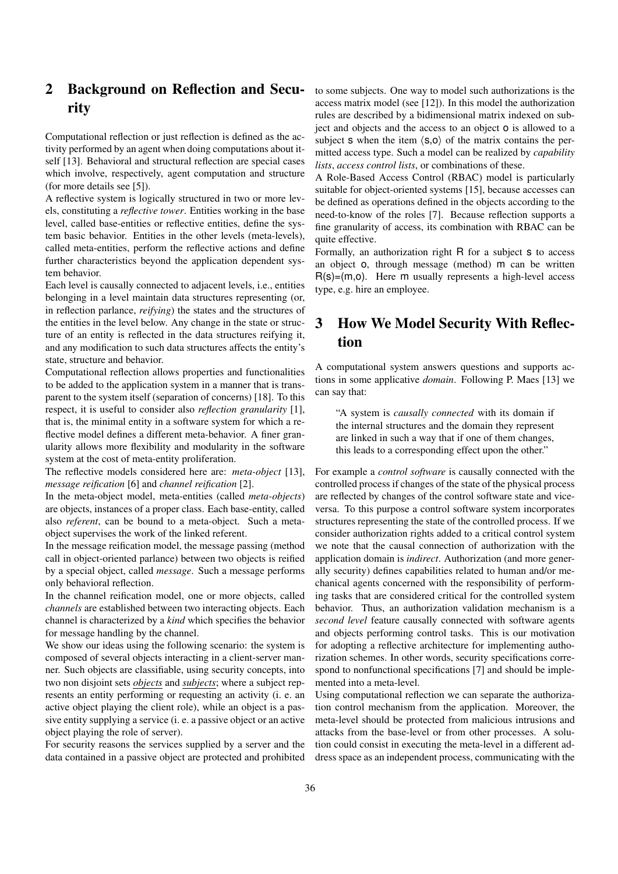# 2 Background on Reflection and Security

Computational reflection or just reflection is defined as the activity performed by an agent when doing computations about itself [13]. Behavioral and structural reflection are special cases which involve, respectively, agent computation and structure (for more details see [5]).

A reflective system is logically structured in two or more levels, constituting a *reflective tower*. Entities working in the base level, called base-entities or reflective entities, define the system basic behavior. Entities in the other levels (meta-levels), called meta-entities, perform the reflective actions and define further characteristics beyond the application dependent system behavior.

Each level is causally connected to adjacent levels, i.e., entities belonging in a level maintain data structures representing (or, in reflection parlance, *reifying*) the states and the structures of the entities in the level below. Any change in the state or structure of an entity is reflected in the data structures reifying it, and any modification to such data structures affects the entity's state, structure and behavior.

Computational reflection allows properties and functionalities to be added to the application system in a manner that is transparent to the system itself (separation of concerns) [18]. To this respect, it is useful to consider also *reflection granularity* [1], that is, the minimal entity in a software system for which a reflective model defines a different meta-behavior. A finer granularity allows more flexibility and modularity in the software system at the cost of meta-entity proliferation.

The reflective models considered here are: *meta-object* [13], *message reification* [6] and *channel reification* [2].

In the meta-object model, meta-entities (called *meta-objects*) are objects, instances of a proper class. Each base-entity, called also *referent*, can be bound to a meta-object. Such a metaobject supervises the work of the linked referent.

In the message reification model, the message passing (method call in object-oriented parlance) between two objects is reified by a special object, called *message*. Such a message performs only behavioral reflection.

In the channel reification model, one or more objects, called *channels* are established between two interacting objects. Each channel is characterized by a *kind* which specifies the behavior for message handling by the channel.

We show our ideas using the following scenario: the system is composed of several objects interacting in a client-server manner. Such objects are classifiable, using security concepts, into two non disjoint sets *objects* and *subjects*; where a subject represents an entity performing or requesting an activity (i. e. an active object playing the client role), while an object is a passive entity supplying a service (i. e. a passive object or an active object playing the role of server).

For security reasons the services supplied by a server and the data contained in a passive object are protected and prohibited to some subjects. One way to model such authorizations is the access matrix model (see [12]). In this model the authorization rules are described by a bidimensional matrix indexed on subject and objects and the access to an object o is allowed to a subject s when the item  $\langle s, \mathbf{0} \rangle$  of the matrix contains the permitted access type. Such a model can be realized by *capability lists*, *access control lists*, or combinations of these.

A Role-Based Access Control (RBAC) model is particularly suitable for object-oriented systems [15], because accesses can be defined as operations defined in the objects according to the need-to-know of the roles [7]. Because reflection supports a fine granularity of access, its combination with RBAC can be quite effective.

Formally, an authorization right R for a subject s to access an object o, through message (method) m can be written  $R(s)=(m,o)$ . Here m usually represents a high-level access type, e.g. hire an employee.

## 3 How We Model Security With Reflection

A computational system answers questions and supports actions in some applicative *domain*. Following P. Maes [13] we can say that:

"A system is *causally connected* with its domain if the internal structures and the domain they represent are linked in such a way that if one of them changes, this leads to a corresponding effect upon the other."

For example a *control software* is causally connected with the controlled process if changes of the state of the physical process are reflected by changes of the control software state and viceversa. To this purpose a control software system incorporates structures representing the state of the controlled process. If we consider authorization rights added to a critical control system we note that the causal connection of authorization with the application domain is *indirect*. Authorization (and more generally security) defines capabilities related to human and/or mechanical agents concerned with the responsibility of performing tasks that are considered critical for the controlled system behavior. Thus, an authorization validation mechanism is a *second level* feature causally connected with software agents and objects performing control tasks. This is our motivation for adopting a reflective architecture for implementing authorization schemes. In other words, security specifications correspond to nonfunctional specifications [7] and should be implemented into a meta-level.

Using computational reflection we can separate the authorization control mechanism from the application. Moreover, the meta-level should be protected from malicious intrusions and attacks from the base-level or from other processes. A solution could consist in executing the meta-level in a different address space as an independent process, communicating with the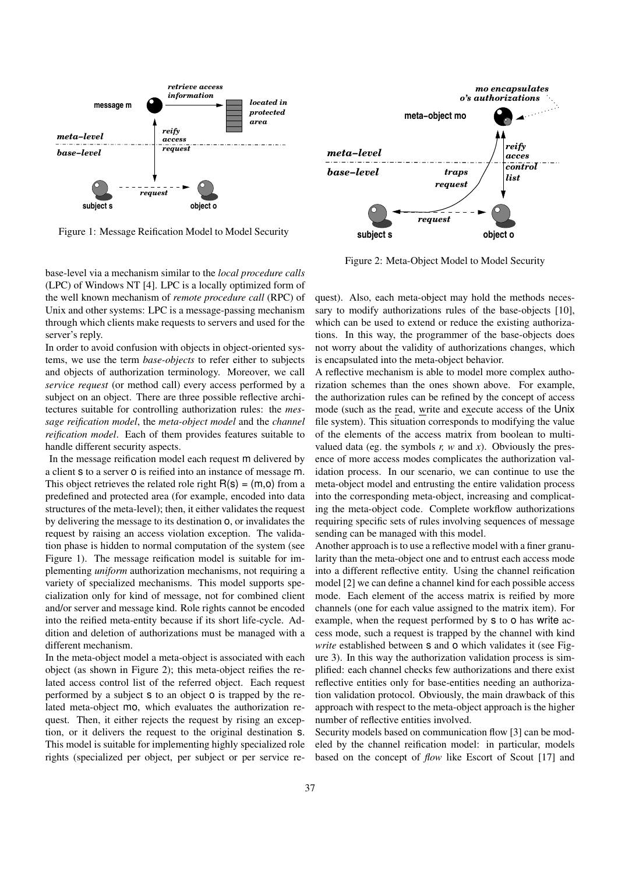

Figure 1: Message Reification Model to Model Security

base-level via a mechanism similar to the *local procedure calls* (LPC) of Windows NT [4]. LPC is a locally optimized form of the well known mechanism of *remote procedure call* (RPC) of Unix and other systems: LPC is a message-passing mechanism through which clients make requests to servers and used for the server's reply.

In order to avoid confusion with objects in object-oriented systems, we use the term *base-objects* to refer either to subjects and objects of authorization terminology. Moreover, we call *service request* (or method call) every access performed by a subject on an object. There are three possible reflective architectures suitable for controlling authorization rules: the *message reification model*, the *meta-object model* and the *channel reification model*. Each of them provides features suitable to handle different security aspects.

In the message reification model each request m delivered by a client s to a server o is reified into an instance of message m. This object retrieves the related role right  $R(s) = (m, o)$  from a predefined and protected area (for example, encoded into data structures of the meta-level); then, it either validates the request by delivering the message to its destination o, or invalidates the request by raising an access violation exception. The validation phase is hidden to normal computation of the system (see Figure [1\)](#page-2-0). The message reification model is suitable for implementing *uniform* authorization mechanisms, not requiring a variety of specialized mechanisms. This model supports specialization only for kind of message, not for combined client and/or server and message kind. Role rights cannot be encoded into the reified meta-entity because if its short life-cycle. Addition and deletion of authorizations must be managed with a different mechanism.

In the meta-object model a meta-object is associated with each object (as shown in Figure [2\)](#page-2-1); this meta-object reifies the related access control list of the referred object. Each request performed by a subject s to an object o is trapped by the related meta-object mo, which evaluates the authorization request. Then, it either rejects the request by rising an exception, or it delivers the request to the original destination s. This model is suitable for implementing highly specialized role rights (specialized per object, per subject or per service re-



<span id="page-2-1"></span><span id="page-2-0"></span>Figure 2: Meta-Object Model to Model Security

quest). Also, each meta-object may hold the methods necessary to modify authorizations rules of the base-objects [10], which can be used to extend or reduce the existing authorizations. In this way, the programmer of the base-objects does not worry about the validity of authorizations changes, which is encapsulated into the meta-object behavior.

A reflective mechanism is able to model more complex authorization schemes than the ones shown above. For example, the authorization rules can be refined by the concept of access mode (such as the read, write and execute access of the Unix file system). This situation corresponds to modifying the value of the elements of the access matrix from boolean to multivalued data (eg. the symbols  $r$ ,  $w$  and  $x$ ). Obviously the presence of more access modes complicates the authorization validation process. In our scenario, we can continue to use the meta-object model and entrusting the entire validation process into the corresponding meta-object, increasing and complicating the meta-object code. Complete workflow authorizations requiring specific sets of rules involving sequences of message sending can be managed with this model.

Another approach is to use a reflective model with a finer granularity than the meta-object one and to entrust each access mode into a different reflective entity. Using the channel reification model [2] we can define a channel kind for each possible access mode. Each element of the access matrix is reified by more channels (one for each value assigned to the matrix item). For example, when the request performed by s to o has write access mode, such a request is trapped by the channel with kind *write* established between **s** and **o** which validates it (see Figure [3\)](#page-3-0). In this way the authorization validation process is simplified: each channel checks few authorizations and there exist reflective entities only for base-entities needing an authorization validation protocol. Obviously, the main drawback of this approach with respect to the meta-object approach is the higher number of reflective entities involved.

Security models based on communication flow [3] can be modeled by the channel reification model: in particular, models based on the concept of *flow* like Escort of Scout [17] and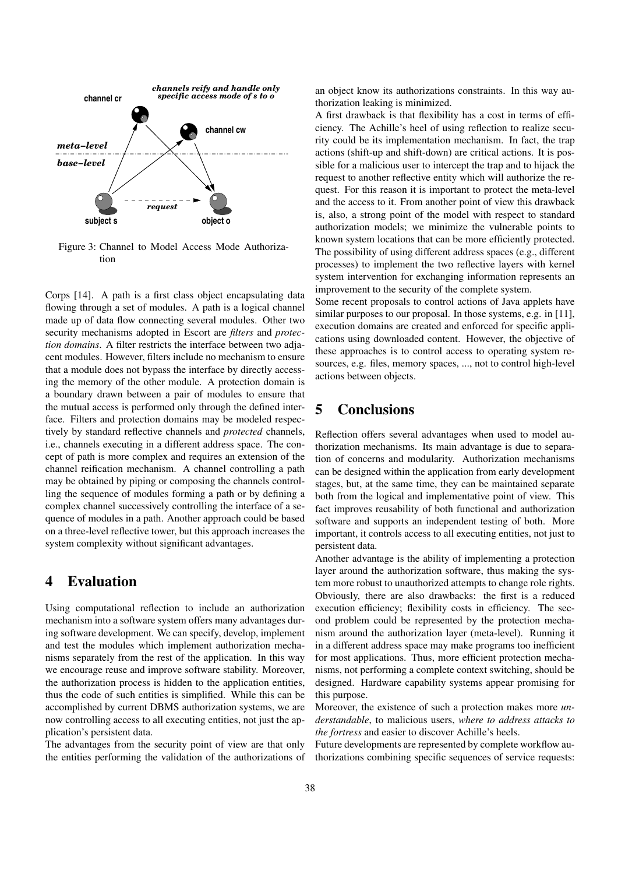

Figure 3: Channel to Model Access Mode Authorization

Corps [14]. A path is a first class object encapsulating data flowing through a set of modules. A path is a logical channel made up of data flow connecting several modules. Other two security mechanisms adopted in Escort are *filters* and *protection domains*. A filter restricts the interface between two adjacent modules. However, filters include no mechanism to ensure that a module does not bypass the interface by directly accessing the memory of the other module. A protection domain is a boundary drawn between a pair of modules to ensure that the mutual access is performed only through the defined interface. Filters and protection domains may be modeled respectively by standard reflective channels and *protected* channels, i.e., channels executing in a different address space. The concept of path is more complex and requires an extension of the channel reification mechanism. A channel controlling a path may be obtained by piping or composing the channels controlling the sequence of modules forming a path or by defining a complex channel successively controlling the interface of a sequence of modules in a path. Another approach could be based on a three-level reflective tower, but this approach increases the system complexity without significant advantages.

#### 4 Evaluation

Using computational reflection to include an authorization mechanism into a software system offers many advantages during software development. We can specify, develop, implement and test the modules which implement authorization mechanisms separately from the rest of the application. In this way we encourage reuse and improve software stability. Moreover, the authorization process is hidden to the application entities, thus the code of such entities is simplified. While this can be accomplished by current DBMS authorization systems, we are now controlling access to all executing entities, not just the application's persistent data.

The advantages from the security point of view are that only the entities performing the validation of the authorizations of an object know its authorizations constraints. In this way authorization leaking is minimized.

A first drawback is that flexibility has a cost in terms of efficiency. The Achille's heel of using reflection to realize security could be its implementation mechanism. In fact, the trap actions (shift-up and shift-down) are critical actions. It is possible for a malicious user to intercept the trap and to hijack the request to another reflective entity which will authorize the request. For this reason it is important to protect the meta-level and the access to it. From another point of view this drawback is, also, a strong point of the model with respect to standard authorization models; we minimize the vulnerable points to known system locations that can be more efficiently protected. The possibility of using different address spaces (e.g., different processes) to implement the two reflective layers with kernel system intervention for exchanging information represents an improvement to the security of the complete system.

<span id="page-3-0"></span>Some recent proposals to control actions of Java applets have similar purposes to our proposal. In those systems, e.g. in [11], execution domains are created and enforced for specific applications using downloaded content. However, the objective of these approaches is to control access to operating system resources, e.g. files, memory spaces, ..., not to control high-level actions between objects.

### 5 Conclusions

Reflection offers several advantages when used to model authorization mechanisms. Its main advantage is due to separation of concerns and modularity. Authorization mechanisms can be designed within the application from early development stages, but, at the same time, they can be maintained separate both from the logical and implementative point of view. This fact improves reusability of both functional and authorization software and supports an independent testing of both. More important, it controls access to all executing entities, not just to persistent data.

Another advantage is the ability of implementing a protection layer around the authorization software, thus making the system more robust to unauthorized attempts to change role rights. Obviously, there are also drawbacks: the first is a reduced execution efficiency; flexibility costs in efficiency. The second problem could be represented by the protection mechanism around the authorization layer (meta-level). Running it in a different address space may make programs too inefficient for most applications. Thus, more efficient protection mechanisms, not performing a complete context switching, should be designed. Hardware capability systems appear promising for this purpose.

Moreover, the existence of such a protection makes more *understandable*, to malicious users, *where to address attacks to the fortress* and easier to discover Achille's heels.

Future developments are represented by complete workflow authorizations combining specific sequences of service requests: